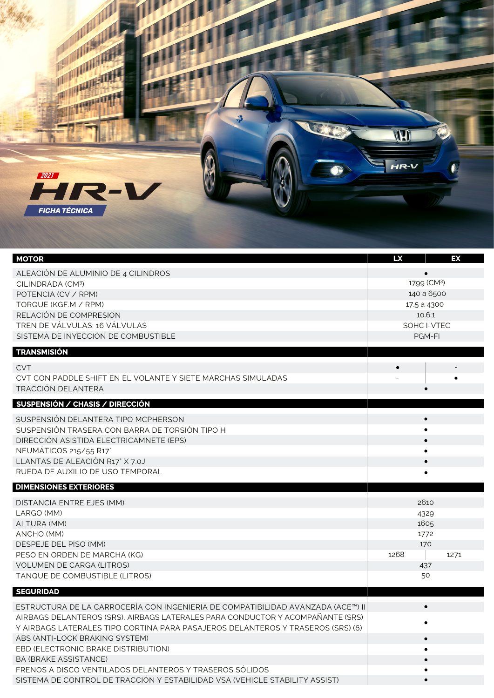

| <b>MOTOR</b>                                                                    | <b>LX</b>     | EX        |
|---------------------------------------------------------------------------------|---------------|-----------|
| ALEACION DE ALUMINIO DE 4 CILINDROS                                             |               |           |
| CILINDRADA (CM3)                                                                | 1799 (CM3)    |           |
| POTENCIA (CV / RPM)                                                             | 140 a 6500    |           |
| TORQUE (KGF.M / RPM)                                                            | 17,5 a 4300   |           |
| RELACIÓN DE COMPRESIÓN                                                          | 10.6:1        |           |
| TREN DE VÁLVULAS: 16 VÁLVULAS                                                   | SOHC I-VTEC   |           |
| SISTEMA DE INYECCIÓN DE COMBUSTIBLE                                             | <b>PGM-FI</b> |           |
| <b>TRANSMISIÓN</b>                                                              |               |           |
| <b>CVT</b>                                                                      |               |           |
| CVT CON PADDLE SHIFT EN EL VOLANTE Y SIETE MARCHAS SIMULADAS                    |               |           |
| <b>TRACCIÓN DELANTERA</b>                                                       |               | $\bullet$ |
| SUSPENSIÓN / CHASIS / DIRECCIÓN                                                 |               |           |
|                                                                                 |               | $\bullet$ |
| SUSPENSIÓN DELANTERA TIPO MCPHERSON                                             |               | $\bullet$ |
| SUSPENSIÓN TRASERA CON BARRA DE TORSIÓN TIPO H                                  |               |           |
| DIRECCIÓN ASISTIDA ELECTRICAMNETE (EPS)                                         | $\bullet$     |           |
| NEUMÁTICOS 215/55 R17                                                           | $\bullet$     |           |
| LLANTAS DE ALEACIÓN R17" X 7.0J                                                 |               | $\bullet$ |
| RUEDA DE AUXILIO DE USO TEMPORAL                                                |               |           |
| <b>DIMENSIONES EXTERIORES</b>                                                   |               |           |
| DISTANCIA ENTRE EJES (MM)                                                       | 2610          |           |
| LARGO (MM)                                                                      | 4329          |           |
| ALTURA (MM)                                                                     | 1605          |           |
| ANCHO (MM)                                                                      | 1772          |           |
| DESPEJE DEL PISO (MM)                                                           | 170           |           |
| PESO EN ORDEN DE MARCHA (KG)                                                    | 1268          | 1271      |
| <b>VOLUMEN DE CARGA (LITROS)</b>                                                |               | 437       |
| TANQUE DE COMBUSTIBLE (LITROS)                                                  | 50            |           |
| <b>SEGURIDAD</b>                                                                |               |           |
| ESTRUCTURA DE LA CARROCERÍA CON INGENIERIA DE COMPATIBILIDAD AVANZADA (ACE™) II |               | $\bullet$ |
| AIRBAGS DELANTEROS (SRS). AIRBAGS LATERALES PARA CONDUCTOR Y ACOMPANANTE (SRS)  |               |           |
| Y AIRBAGS LATERALES TIPO CORTINA PARA PASAJEROS DELANTEROS Y TRASEROS (SRS) (6) |               |           |
| ABS (ANTI-LOCK BRAKING SYSTEM)                                                  |               | $\bullet$ |
| EBD (ELECTRONIC BRAKE DISTRIBUTION)                                             |               |           |
| <b>BA (BRAKE ASSISTANCE)</b>                                                    |               | $\bullet$ |
| FRENOS A DISCO VENTILADOS DELANTEROS Y TRASEROS SÓLIDOS                         |               |           |
| SISTEMA DE CONTROL DE TRACCIÓN Y ESTABILIDAD VSA (VEHICLE STABILITY ASSIST)     |               |           |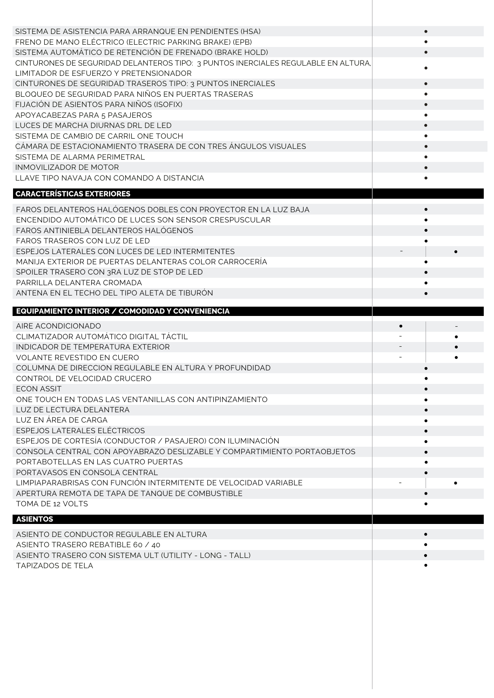| SISTEMA DE ASISTENCIA PARA ARRANQUE EN PENDIENTES (HSA)                           |                        |  |
|-----------------------------------------------------------------------------------|------------------------|--|
| FRENO DE MANO ELÉCTRICO (ELECTRIC PARKING BRAKE) (EPB)                            |                        |  |
| SISTEMA AUTOMÁTICO DE RETENCIÓN DE FRENADO (BRAKE HOLD)                           | $\bullet$              |  |
| CINTURONES DE SEGURIDAD DELANTEROS TIPO: 3 PUNTOS INERCIALES REGULABLE EN ALTURA, |                        |  |
| LIMITADOR DE ESFUERZO Y PRETENSIONADOR                                            |                        |  |
| CINTURONES DE SEGURIDAD TRASEROS TIPO: 3 PUNTOS INERCIALES                        | $\bullet$              |  |
| BLOQUEO DE SEGURIDAD PARA NIÑOS EN PUERTAS TRASERAS                               | $\bullet$              |  |
| FIJACIÓN DE ASIENTOS PARA NIÑOS (ISOFIX)                                          | $\bullet$              |  |
| APOYACABEZAS PARA 5 PASAJEROS                                                     |                        |  |
| LUCES DE MARCHA DIURNAS DRL DE LED                                                | $\bullet$              |  |
| SISTEMA DE CAMBIO DE CARRIL ONE TOUCH                                             |                        |  |
| CÁMARA DE ESTACIONAMIENTO TRASERA DE CON TRES ÁNGULOS VISUALES                    |                        |  |
| SISTEMA DE ALARMA PERIMETRAL                                                      | $\bullet$              |  |
| <b>INMOVILIZADOR DE MOTOR</b>                                                     | $\bullet$              |  |
| LLAVE TIPO NAVAJA CON COMANDO A DISTANCIA                                         | $\bullet$              |  |
| <b>CARACTERÍSTICAS EXTERIORES</b>                                                 |                        |  |
|                                                                                   |                        |  |
| FAROS DELANTEROS HALÓGENOS DOBLES CON PROYECTOR EN LA LUZ BAJA                    |                        |  |
| ENCENDIDO AUTOMÁTICO DE LUCES SON SENSOR CRESPUSCULAR                             |                        |  |
| FAROS ANTINIEBLA DELANTEROS HALÓGENOS                                             |                        |  |
| FAROS TRASEROS CON LUZ DE LED                                                     |                        |  |
| ESPEJOS LATERALES CON LUCES DE LED INTERMITENTES                                  |                        |  |
| MANIJA EXTERIOR DE PUERTAS DELANTERAS COLOR CARROCERÍA                            |                        |  |
| SPOILER TRASERO CON 3RA LUZ DE STOP DE LED                                        | $\bullet$              |  |
| PARRILLA DELANTERA CROMADA                                                        |                        |  |
|                                                                                   |                        |  |
| ANTENA EN EL TECHO DEL TIPO ALETA DE TIBURÓN                                      | $\bullet$              |  |
| EQUIPAMIENTO INTERIOR / COMODIDAD Y CONVENIENCIA                                  |                        |  |
|                                                                                   |                        |  |
| AIRE ACONDICIONADO                                                                |                        |  |
| CLIMATIZADOR AUTOMÁTICO DIGITAL TÁCTIL                                            |                        |  |
| INDICADOR DE TEMPERATURA EXTERIOR                                                 |                        |  |
| VOLANTE REVESTIDO EN CUERO                                                        |                        |  |
| COLUMNA DE DIRECCION REGULABLE EN ALTURA Y PROFUNDIDAD                            |                        |  |
| CONTROL DE VELOCIDAD CRUCERO                                                      |                        |  |
| <b>ECON ASSIT</b>                                                                 |                        |  |
| ONE TOUCH EN TODAS LAS VENTANILLAS CON ANTIPINZAMIENTO                            |                        |  |
| LUZ DE LECTURA DELANTERA                                                          |                        |  |
| LUZ EN ÁREA DE CARGA                                                              | $\bullet$              |  |
| ESPEJOS LATERALES ELÉCTRICOS                                                      |                        |  |
| ESPEJOS DE CORTESÍA (CONDUCTOR / PASAJERO) CON ILUMINACIÓN                        | $\bullet$              |  |
| CONSOLA CENTRAL CON APOYABRAZO DESLIZABLE Y COMPARTIMIENTO PORTAOBJETOS           | $\bullet$<br>$\bullet$ |  |
| PORTABOTELLAS EN LAS CUATRO PUERTAS                                               |                        |  |
| PORTAVASOS EN CONSOLA CENTRAL                                                     |                        |  |
| LIMPIAPARABRISAS CON FUNCIÓN INTERMITENTE DE VELOCIDAD VARIABLE                   |                        |  |
| APERTURA REMOTA DE TAPA DE TANQUE DE COMBUSTIBLE                                  |                        |  |
| TOMA DE 12 VOLTS                                                                  |                        |  |
| <b>ASIENTOS</b>                                                                   |                        |  |
| ASIENTO DE CONDUCTOR REGULABLE EN ALTURA                                          |                        |  |

 $\bullet$ 

ASIENTO TRASERO CON SISTEMA ULT (UTILITY - LONG - TALL)

TAPIZADOS DE TELA